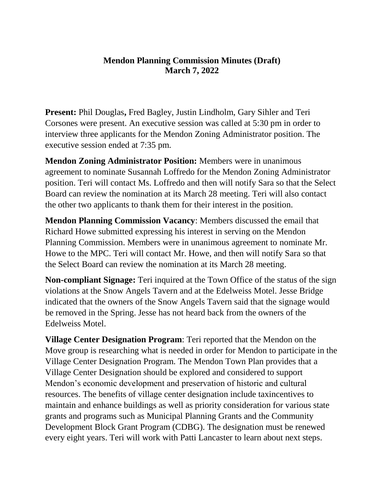## **Mendon Planning Commission Minutes (Draft) March 7, 2022**

**Present:** Phil Douglas**,** Fred Bagley, Justin Lindholm, Gary Sihler and Teri Corsones were present. An executive session was called at 5:30 pm in order to interview three applicants for the Mendon Zoning Administrator position. The executive session ended at 7:35 pm.

**Mendon Zoning Administrator Position:** Members were in unanimous agreement to nominate Susannah Loffredo for the Mendon Zoning Administrator position. Teri will contact Ms. Loffredo and then will notify Sara so that the Select Board can review the nomination at its March 28 meeting. Teri will also contact the other two applicants to thank them for their interest in the position.

**Mendon Planning Commission Vacancy**: Members discussed the email that Richard Howe submitted expressing his interest in serving on the Mendon Planning Commission. Members were in unanimous agreement to nominate Mr. Howe to the MPC. Teri will contact Mr. Howe, and then will notify Sara so that the Select Board can review the nomination at its March 28 meeting.

**Non-compliant Signage:** Teri inquired at the Town Office of the status of the sign violations at the Snow Angels Tavern and at the Edelweiss Motel. Jesse Bridge indicated that the owners of the Snow Angels Tavern said that the signage would be removed in the Spring. Jesse has not heard back from the owners of the Edelweiss Motel.

**Village Center Designation Program**: Teri reported that the Mendon on the Move group is researching what is needed in order for Mendon to participate in the Village Center Designation Program. The Mendon Town Plan provides that a Village Center Designation should be explored and considered to support Mendon's economic development and preservation of historic and cultural resources. The benefits of village center designation include taxincentives to maintain and enhance buildings as well as priority consideration for various state grants and programs such as Municipal Planning Grants and the Community Development Block Grant Program (CDBG). The designation must be renewed every eight years. Teri will work with Patti Lancaster to learn about next steps.